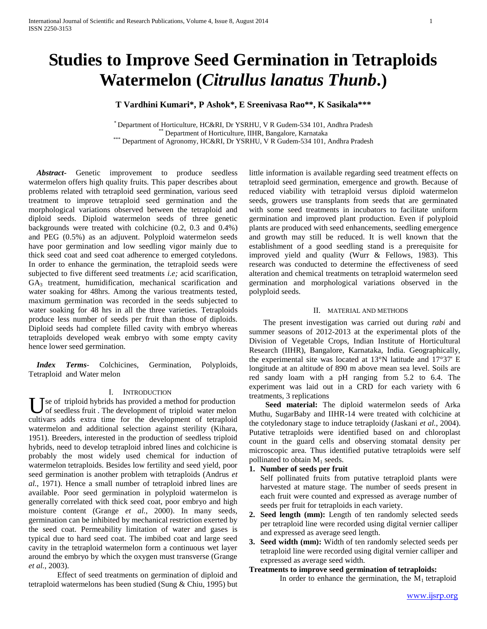# **Studies to Improve Seed Germination in Tetraploids Watermelon (***Citrullus lanatus Thunb***.)**

# **T Vardhini Kumari\*, P Ashok\*, E Sreenivasa Rao\*\*, K Sasikala\*\*\***

\* Department of Horticulture, HC&RI, Dr YSRHU, V R Gudem-534 101, Andhra Pradesh Department of Horticulture, IIHR, Bangalore, Karnataka \*\*\* Department of Agronomy, HC&RI, Dr YSRHU, V R Gudem-534 101, Andhra Pradesh

 *Abstract***-** Genetic improvement to produce seedless watermelon offers high quality fruits. This paper describes about problems related with tetraploid seed germination, various seed treatment to improve tetraploid seed germination and the morphological variations observed between the tetraploid and diploid seeds. Diploid watermelon seeds of three genetic backgrounds were treated with colchicine (0.2, 0.3 and 0.4%) and PEG (0.5%) as an adjuvent. Polyploid watermelon seeds have poor germination and low seedling vigor mainly due to thick seed coat and seed coat adherence to emerged cotyledons. In order to enhance the germination, the tetraploid seeds were subjected to five different seed treatments *i.e;* acid scarification, GA<sup>3</sup> treatment, humidification, mechanical scarification and water soaking for 48hrs. Among the various treatments tested, maximum germination was recorded in the seeds subjected to water soaking for 48 hrs in all the three varieties. Tetraploids produce less number of seeds per fruit than those of diploids. Diploid seeds had complete filled cavity with embryo whereas tetraploids developed weak embryo with some empty cavity hence lower seed germination.

 *Index Terms*- Colchicines, Germination, Polyploids, Tetraploid and Water melon

#### I. INTRODUCTION

Use of triploid hybrids has provided a method for production<br>of seedless fruit . The development of triploid water melon of seedless fruit . The development of triploid water melon cultivars adds extra time for the development of tetraploid watermelon and additional selection against sterility (Kihara, 1951). Breeders, interested in the production of seedless triploid hybrids, need to develop tetraploid inbred lines and colchicine is probably the most widely used chemical for induction of watermelon tetraploids. Besides low fertility and seed yield, poor seed germination is another problem with tetraploids (Andrus *et al.*, 1971). Hence a small number of tetraploid inbred lines are available. Poor seed germination in polyploid watermelon is generally correlated with thick seed coat, poor embryo and high moisture content (Grange *et al.*, 2000). In many seeds, germination can be inhibited by mechanical restriction exerted by the seed coat. Permeability limitation of water and gases is typical due to hard seed coat. The imbibed coat and large seed cavity in the tetraploid watermelon form a continuous wet layer around the embryo by which the oxygen must transverse (Grange *et al.*, 2003).

Effect of seed treatments on germination of diploid and tetraploid watermelons has been studied (Sung & Chiu, 1995) but little information is available regarding seed treatment effects on tetraploid seed germination, emergence and growth. Because of reduced viability with tetraploid versus diploid watermelon seeds, growers use transplants from seeds that are germinated with some seed treatments in incubators to facilitate uniform germination and improved plant production. Even if polyploid plants are produced with seed enhancements, seedling emergence and growth may still be reduced. It is well known that the establishment of a good seedling stand is a prerequisite for improved yield and quality (Wurr & Fellows, 1983). This research was conducted to determine the effectiveness of seed alteration and chemical treatments on tetraploid watermelon seed germination and morphological variations observed in the polyploid seeds.

#### II. MATERIAL AND METHODS

The present investigation was carried out during *rabi* and summer seasons of 2012-2013 at the experimental plots of the Division of Vegetable Crops, Indian Institute of Horticultural Research (IIHR), Bangalore, Karnataka, India. Geographically, the experimental site was located at 13°N latitude and 17°37' E longitude at an altitude of 890 m above mean sea level. Soils are red sandy loam with a pH ranging from 5.2 to 6.4. The experiment was laid out in a CRD for each variety with 6 treatments, 3 replications

**Seed material:** The diploid watermelon seeds of Arka Muthu, SugarBaby and IIHR-14 were treated with colchicine at the cotyledonary stage to induce tetraploidy (Jaskani *et al.*, 2004). Putative tetraploids were identified based on and chloroplast count in the guard cells and observing stomatal density per microscopic area. Thus identified putative tetraploids were self pollinated to obtain  $M_1$  seeds.

#### **1. Number of seeds per fruit**

Self pollinated fruits from putative tetraploid plants were harvested at mature stage. The number of seeds present in each fruit were counted and expressed as average number of seeds per fruit for tetraploids in each variety.

- **2. Seed length (mm):** Length of ten randomly selected seeds per tetraploid line were recorded using digital vernier calliper and expressed as average seed length.
- **3. Seed width (mm):** Width of ten randomly selected seeds per tetraploid line were recorded using digital vernier calliper and expressed as average seed width.

### **Treatments to improve seed germination of tetraploids:**

In order to enhance the germination, the  $M_1$  tetraploid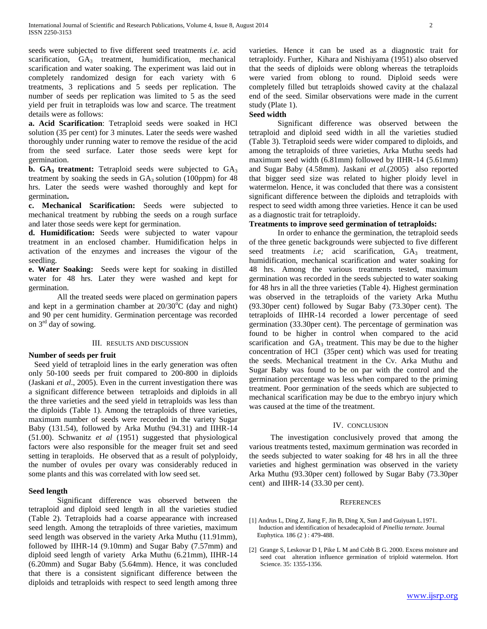seeds were subjected to five different seed treatments *i.e.* acid scarification,  $GA_3$  treatment, humidification, mechanical scarification and water soaking. The experiment was laid out in completely randomized design for each variety with 6 treatments, 3 replications and 5 seeds per replication. The number of seeds per replication was limited to 5 as the seed yield per fruit in tetraploids was low and scarce. The treatment details were as follows:

**a. Acid Scarification**: Tetraploid seeds were soaked in HCl solution (35 per cent) for 3 minutes. Later the seeds were washed thoroughly under running water to remove the residue of the acid from the seed surface. Later those seeds were kept for germination.

**b.**  $GA_3$  **treatment:** Tetraploid seeds were subjected to  $GA_3$ treatment by soaking the seeds in  $GA_3$  solution (100ppm) for 48 hrs. Later the seeds were washed thoroughly and kept for germination**.**

**c. Mechanical Scarification:** Seeds were subjected to mechanical treatment by rubbing the seeds on a rough surface and later those seeds were kept for germination.

**d. Humidification:** Seeds were subjected to water vapour treatment in an enclosed chamber. Humidification helps in activation of the enzymes and increases the vigour of the seedling.

**e. Water Soaking:** Seeds were kept for soaking in distilled water for 48 hrs. Later they were washed and kept for germination.

All the treated seeds were placed on germination papers and kept in a germination chamber at  $20/30^{\circ}$ C (day and night) and 90 per cent humidity. Germination percentage was recorded on 3rd day of sowing.

#### III. RESULTS AND DISCUSSION

#### **Number of seeds per fruit**

Seed yield of tetraploid lines in the early generation was often only 50-100 seeds per fruit compared to 200-800 in diploids (Jaskani *et al*., 2005). Even in the current investigation there was a significant difference between tetraploids and diploids in all the three varieties and the seed yield in tetraploids was less than the diploids (Table 1). Among the tetraploids of three varieties, maximum number of seeds were recorded in the variety Sugar Baby (131.54), followed by Arka Muthu (94.31) and IIHR-14 (51.00). Schwanitz *et al* (1951) suggested that physiological factors were also responsible for the meager fruit set and seed setting in teraploids. He observed that as a result of polyploidy, the number of ovules per ovary was considerably reduced in some plants and this was correlated with low seed set.

#### **Seed length**

Significant difference was observed between the tetraploid and diploid seed length in all the varieties studied (Table 2). Tetraploids had a coarse appearance with increased seed length. Among the tetraploids of three varieties, maximum seed length was observed in the variety Arka Muthu (11.91mm), followed by IIHR-14 (9.10mm) and Sugar Baby (7.57mm) and diploid seed length of variety Arka Muthu (6.21mm), IIHR-14 (6.20mm) and Sugar Baby (5.64mm). Hence, it was concluded that there is a consistent significant difference between the diploids and tetraploids with respect to seed length among three

varieties. Hence it can be used as a diagnostic trait for tetraploidy. Further, Kihara and Nishiyama (1951) also observed that the seeds of diploids were oblong whereas the tetraploids were varied from oblong to round. Diploid seeds were completely filled but tetraploids showed cavity at the chalazal end of the seed. Similar observations were made in the current study (Plate 1).

## **Seed width**

Significant difference was observed between the tetraploid and diploid seed width in all the varieties studied (Table 3). Tetraploid seeds were wider compared to diploids, and among the tetraploids of three varieties, Arka Muthu seeds had maximum seed width (6.81mm) followed by IIHR-14 (5.61mm) and Sugar Baby (4.58mm). Jaskani *et al.*(2005) also reported that bigger seed size was related to higher ploidy level in watermelon. Hence, it was concluded that there was a consistent significant difference between the diploids and tetraploids with respect to seed width among three varieties. Hence it can be used as a diagnostic trait for tetraploidy.

#### **Treatments to improve seed germination of tetraploids:**

In order to enhance the germination, the tetraploid seeds of the three genetic backgrounds were subjected to five different seed treatments *i.e*; acid scarification, GA<sub>3</sub> treatment, humidification, mechanical scarification and water soaking for 48 hrs. Among the various treatments tested, maximum germination was recorded in the seeds subjected to water soaking for 48 hrs in all the three varieties (Table 4). Highest germination was observed in the tetraploids of the variety Arka Muthu (93.30per cent) followed by Sugar Baby (73.30per cent). The tetraploids of IIHR-14 recorded a lower percentage of seed germination (33.30per cent). The percentage of germination was found to be higher in control when compared to the acid scarification and  $GA_3$  treatment. This may be due to the higher concentration of HCl (35per cent) which was used for treating the seeds. Mechanical treatment in the Cv. Arka Muthu and Sugar Baby was found to be on par with the control and the germination percentage was less when compared to the priming treatment. Poor germination of the seeds which are subjected to mechanical scarification may be due to the embryo injury which was caused at the time of the treatment.

#### IV. CONCLUSION

The investigation conclusively proved that among the various treatments tested, maximum germination was recorded in the seeds subjected to water soaking for 48 hrs in all the three varieties and highest germination was observed in the variety Arka Muthu (93.30per cent) followed by Sugar Baby (73.30per cent) and IIHR-14 (33.30 per cent).

#### **REFERENCES**

- [1[\] Andrus](http://link.springer.com/search?facet-author=%22LiangYan+He%22) L, [Ding](http://link.springer.com/search?facet-author=%22Zhishan+Ding%22) Z, [Jiang](http://link.springer.com/search?facet-author=%22Fusheng+Jiang%22) F[, Jin](http://link.springer.com/search?facet-author=%22Bo+Jin%22) B[, Ding](http://link.springer.com/search?facet-author=%22Xinghong+Ding%22) X[, Sun](http://link.springer.com/search?facet-author=%22Jinyue+Sun%22) J an[d Guiyuan L.](http://link.springer.com/search?facet-author=%22Guiyuan+Lv%22)1971. Induction and identification of hexadecaploid of *Pinellia ternate.* Journal [Euphytica](http://link.springer.com/journal/10681)*.* [186 \(2 \) : 479-488.](http://link.springer.com/journal/10681/186/2/page/1)
- [2] Grange S, Leskovar D I, Pike L M and Cobb B G. 2000. Excess moisture and seed coat alteration influence germination of triploid watermelon. Hort Science. 35: 1355-1356.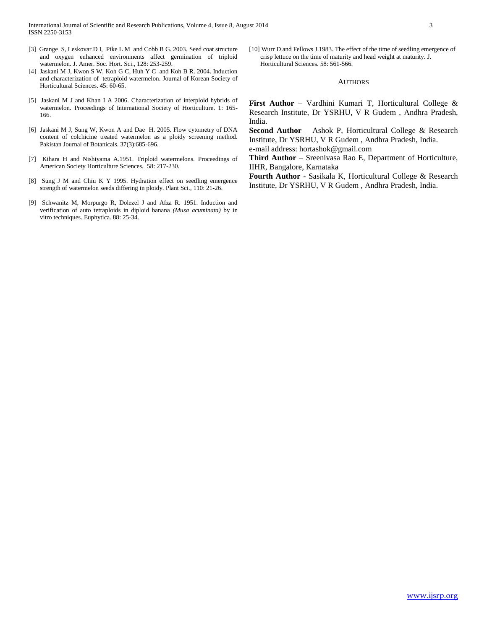- [3] Grange S, Leskovar D I, Pike L M and Cobb B G. 2003. Seed coat structure and oxygen enhanced environments affect germination of triploid watermelon. J. Amer. Soc. Hort. Sci., 128: 253-259.
- [4] Jaskani M J, Kwon S W, Koh G C, Huh Y C and Koh B R. 2004. Induction and characterization of tetraploid watermelon. Journal of Korean Society of Horticultural Sciences. 45: 60-65.
- [5] Jaskani M J and Khan I A 2006. Characterization of interploid hybrids of watermelon. Proceedings of International Society of Horticulture. 1: 165- 166.
- [6] Jaskani M J, Sung W, Kwon A and Dae H. 2005. Flow cytometry of DNA content of colchicine treated watermelon as a ploidy screening method. Pakistan Journal of Botanicals. 37(3):685-696.
- [7] Kihara H and Nishiyama A.1951. Triploid watermelons. Proceedings of American Society Horticulture Sciences. 58: 217-230.
- [8] Sung J M and Chiu K Y 1995. Hydration effect on seedling emergence strength of watermelon seeds differing in ploidy. Plant Sci., 110: 21-26.
- [9] Schwanitz M, Morpurgo R, Dolezel J and Afza R. 1951. Induction and verification of auto tetraploids in diploid banana *(Musa acuminata)* by in vitro techniques. Euphytica. 88: 25-34.

[10] Wurr D and Fellows J.1983. The effect of the time of seedling emergence of crisp lettuce on the time of maturity and head weight at maturity. J. Horticultural Sciences. 58: 561-566.

#### **AUTHORS**

**First Author** – Vardhini Kumari T, Horticultural College & Research Institute, Dr YSRHU, V R Gudem , Andhra Pradesh, India.

**Second Author** – Ashok P, Horticultural College & Research Institute, Dr YSRHU, V R Gudem , Andhra Pradesh, India. e-mail address: hortashok@gmail.com

**Third Author** – Sreenivasa Rao E, Department of Horticulture, IIHR, Bangalore, Karnataka

**Fourth Author** - Sasikala K, Horticultural College & Research Institute, Dr YSRHU, V R Gudem , Andhra Pradesh, India.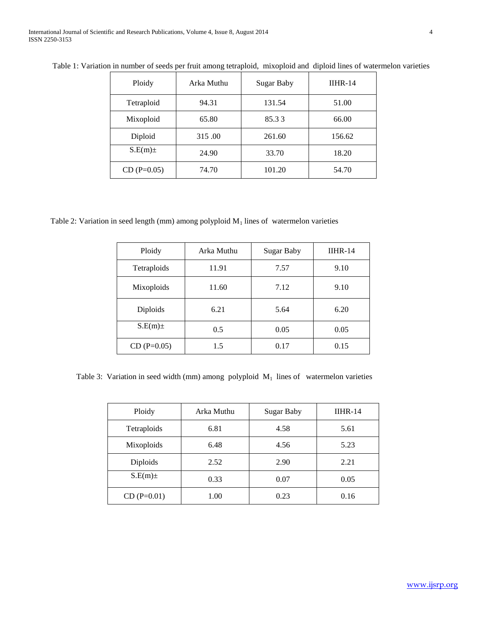| Ploidy        | Arka Muthu | <b>Sugar Baby</b> | $IIHR-14$ |
|---------------|------------|-------------------|-----------|
| Tetraploid    | 94.31      | 131.54            | 51.00     |
| Mixoploid     | 65.80      | 85.33             | 66.00     |
| Diploid       | 315.00     | 261.60            | 156.62    |
| $S.E(m)$ ±    | 24.90      | 33.70             | 18.20     |
| $CD (P=0.05)$ | 74.70      | 101.20            | 54.70     |

Table 1: Variation in number of seeds per fruit among tetraploid, mixoploid and diploid lines of watermelon varieties

Table 2: Variation in seed length (mm) among polyploid  $M_1$  lines of watermelon varieties

| Ploidy        | Arka Muthu | <b>Sugar Baby</b> | $IIHR-14$ |
|---------------|------------|-------------------|-----------|
| Tetraploids   | 11.91      | 7.57              | 9.10      |
| Mixoploids    | 11.60      | 7.12              | 9.10      |
| Diploids      | 6.21       | 5.64              | 6.20      |
| $S.E(m)$ ±    | 0.5        | 0.05              | 0.05      |
| $CD (P=0.05)$ | 1.5        | 0.17              | 0.15      |

Table 3: Variation in seed width (mm) among polyploid  $M_1$  lines of watermelon varieties

| Ploidy          | Arka Muthu | Sugar Baby | $IIHR-14$ |
|-----------------|------------|------------|-----------|
| Tetraploids     | 6.81       | 4.58       | 5.61      |
| Mixoploids      | 6.48       | 4.56       | 5.23      |
| <b>Diploids</b> | 2.52       | 2.90       | 2.21      |
| $S.E(m)$ ±      | 0.33       | 0.07       | 0.05      |
| $CD(P=0.01)$    | 1.00       | 0.23       | 0.16      |